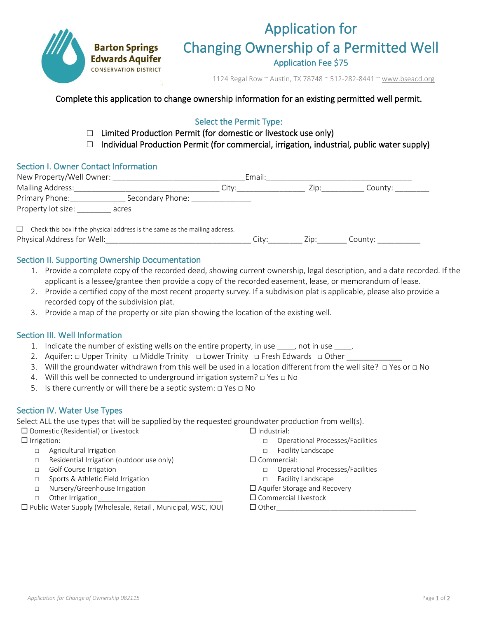

# Application for Changing Ownership of a Permitted Well

1124 Regal Row ~ Austin, TX 78748 ~ 512-282-8441 [~ www.bseacd.org](http://www.bseacd.org/)

### Complete this application to change ownership information for an existing permitted well permit.

## Select the Permit Type:

- $\Box$  Limited Production Permit (for domestic or livestock use only)
- $\Box$  Individual Production Permit (for commercial, irrigation, industrial, public water supply)

### Section I. Owner Contact Information

| New Property/Well Owner:                                                                                                                                                                                                        | Email:                   |
|---------------------------------------------------------------------------------------------------------------------------------------------------------------------------------------------------------------------------------|--------------------------|
| Mailing Address:                                                                                                                                                                                                                | Citv:<br>County:<br>∠lD: |
| Primary Phone:<br>Secondary Phone:                                                                                                                                                                                              |                          |
| Property lot size:<br>acres                                                                                                                                                                                                     |                          |
| $\sim$ . The state of the state of the state of the state of the state of the state of the state of the state of the state of the state of the state of the state of the state of the state of the state of the state of the st |                          |

□ Check this box if the physical address is the same as the mailing address. Physical Address for Well:\_\_\_\_\_\_\_\_\_\_\_\_\_\_\_\_\_\_\_\_\_\_\_\_\_\_\_\_\_\_\_\_\_\_ City:\_\_\_\_\_\_\_\_ Zip:\_\_\_\_\_\_\_ County: \_\_\_\_\_\_\_\_\_\_

### Section II. Supporting Ownership Documentation

- 1. Provide a complete copy of the recorded deed, showing current ownership, legal description, and a date recorded. If the applicant is a lessee/grantee then provide a copy of the recorded easement, lease, or memorandum of lease.
- 2. Provide a certified copy of the most recent property survey. If a subdivision plat is applicable, please also provide a recorded copy of the subdivision plat.
- 3. Provide a map of the property or site plan showing the location of the existing well.

### Section III. Well Information

- 1. Indicate the number of existing wells on the entire property, in use \_\_\_\_, not in use \_\_\_\_.
- 2. Aquifer: □ Upper Trinity □ Middle Trinity □ Lower Trinity □ Fresh Edwards □ Other \_\_\_\_\_\_\_\_\_\_\_\_\_\_
- 3. Will the groundwater withdrawn from this well be used in a location different from the well site? □ Yes or □ No
- 4. Will this well be connected to underground irrigation system?  $□$  Yes  $□$  No
- 5. Is there currently or will there be a septic system: □ Yes □ No

### Section IV. Water Use Types

Select ALL the use types that will be supplied by the requested groundwater production from well(s).

 $\square$  Domestic (Residential) or Livestock

- $\Box$  Irrigation:
	- □ Agricultural Irrigation
	- □ Residential Irrigation (outdoor use only)
	- □ Golf Course Irrigation
	- □ Sports & Athletic Field Irrigation
	- □ Nursery/Greenhouse Irrigation
	- □ Other Irrigation

 $\square$  Public Water Supply (Wholesale, Retail, Municipal, WSC, IOU)

- $\Box$  Industrial:
	- □ Operational Processes/Facilities
	- □ Facility Landscape
- $\square$  Commercial:
	- □ Operational Processes/Facilities
	- □ Facility Landscape
- $\Box$  Aquifer Storage and Recovery
- □ Commercial Livestock
- $\Box$  Other